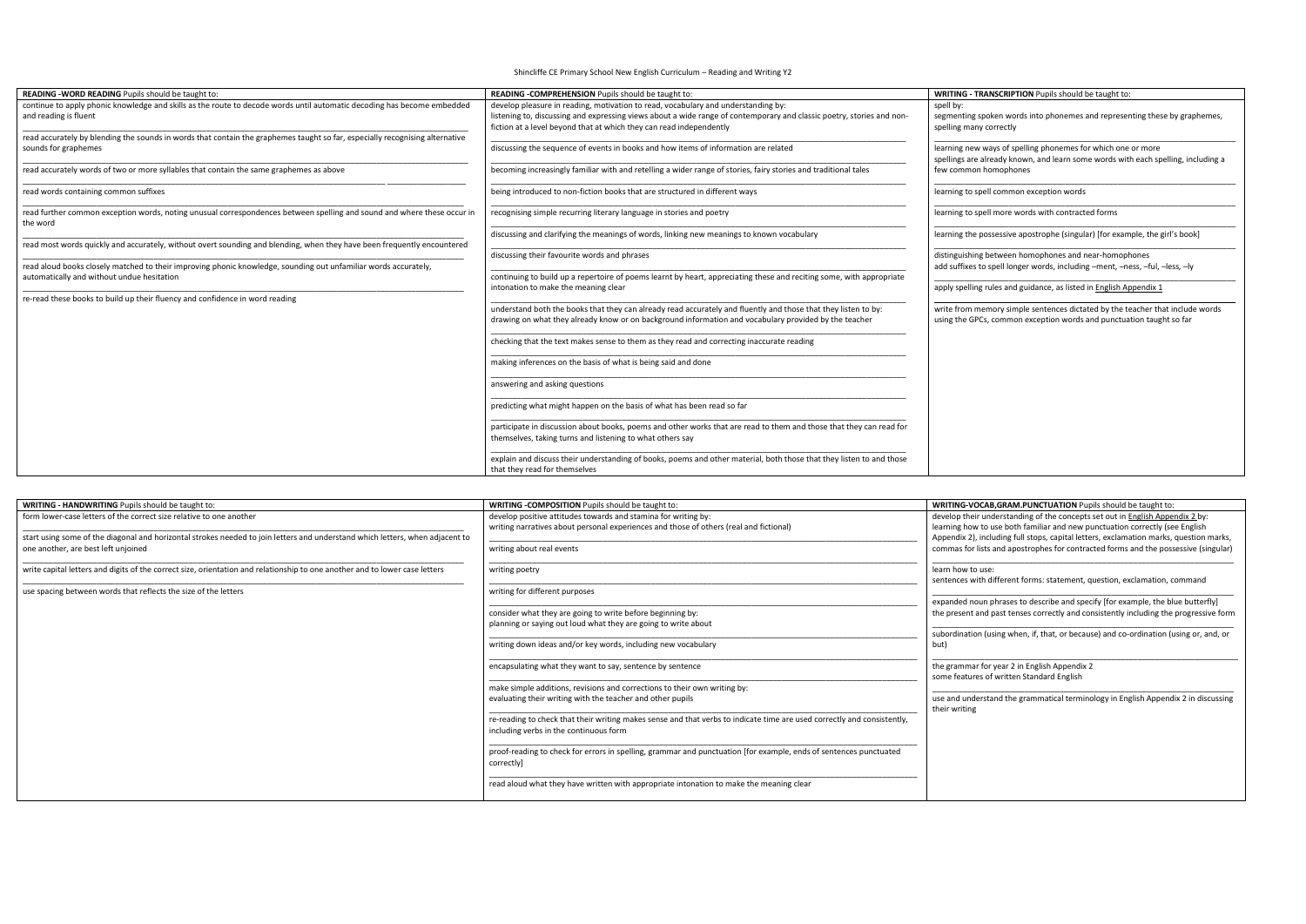Shincliffe CE Primary School New English Curriculum – Reading and Writing Y2

## **WRIGE - WRITING AND AND AND FUPILE SHOULD be taught to: <b>WRITING TO PUPILS** Should be taught to:

| READING - WORD READING Pupils should be taught to:                                                                                                                                                                                                                               | READING -COMPREHENSION Pupils should be taught to:                                                                                                                                                                                                                                | <b>WRITING - TRANSCRIPTION Pupils should be taught to:</b>                                                                                            |
|----------------------------------------------------------------------------------------------------------------------------------------------------------------------------------------------------------------------------------------------------------------------------------|-----------------------------------------------------------------------------------------------------------------------------------------------------------------------------------------------------------------------------------------------------------------------------------|-------------------------------------------------------------------------------------------------------------------------------------------------------|
| continue to apply phonic knowledge and skills as the route to decode words until automatic decoding has become embedded<br>and reading is fluent<br>read accurately by blending the sounds in words that contain the graphemes taught so far, especially recognising alternative | develop pleasure in reading, motivation to read, vocabulary and understanding by:<br>listening to, discussing and expressing views about a wide range of contemporary and classic poetry, stories and non-<br>fiction at a level beyond that at which they can read independently | spell by:<br>segmenting spoken words into phonemes and representing these by graphemes,<br>spelling many correctly                                    |
| sounds for graphemes                                                                                                                                                                                                                                                             | discussing the sequence of events in books and how items of information are related                                                                                                                                                                                               | learning new ways of spelling phonemes for which one or more<br>spellings are already known, and learn some words with each spelling, including a     |
| read accurately words of two or more syllables that contain the same graphemes as above                                                                                                                                                                                          | becoming increasingly familiar with and retelling a wider range of stories, fairy stories and traditional tales                                                                                                                                                                   | few common homophones                                                                                                                                 |
| read words containing common suffixes                                                                                                                                                                                                                                            | being introduced to non-fiction books that are structured in different ways                                                                                                                                                                                                       | learning to spell common exception words                                                                                                              |
| read further common exception words, noting unusual correspondences between spelling and sound and where these occur in<br>the word                                                                                                                                              | recognising simple recurring literary language in stories and poetry                                                                                                                                                                                                              | learning to spell more words with contracted forms                                                                                                    |
| read most words quickly and accurately, without overt sounding and blending, when they have been frequently encountered                                                                                                                                                          | discussing and clarifying the meanings of words, linking new meanings to known vocabulary                                                                                                                                                                                         | learning the possessive apostrophe (singular) [for example, the girl's book]                                                                          |
| read aloud books closely matched to their improving phonic knowledge, sounding out unfamiliar words accurately,                                                                                                                                                                  | discussing their favourite words and phrases                                                                                                                                                                                                                                      | distinguishing between homophones and near-homophones<br>add suffixes to spell longer words, including -ment, -ness, -ful, -less, -ly                 |
| automatically and without undue hesitation                                                                                                                                                                                                                                       | continuing to build up a repertoire of poems learnt by heart, appreciating these and reciting some, with appropriate<br>intonation to make the meaning clear                                                                                                                      | apply spelling rules and guidance, as listed in English Appendix 1                                                                                    |
| re-read these books to build up their fluency and confidence in word reading                                                                                                                                                                                                     |                                                                                                                                                                                                                                                                                   |                                                                                                                                                       |
|                                                                                                                                                                                                                                                                                  | understand both the books that they can already read accurately and fluently and those that they listen to by:<br>drawing on what they already know or on background information and vocabulary provided by the teacher                                                           | write from memory simple sentences dictated by the teacher that include words<br>using the GPCs, common exception words and punctuation taught so far |
|                                                                                                                                                                                                                                                                                  | checking that the text makes sense to them as they read and correcting inaccurate reading                                                                                                                                                                                         |                                                                                                                                                       |
|                                                                                                                                                                                                                                                                                  | making inferences on the basis of what is being said and done                                                                                                                                                                                                                     |                                                                                                                                                       |
|                                                                                                                                                                                                                                                                                  | answering and asking questions                                                                                                                                                                                                                                                    |                                                                                                                                                       |
|                                                                                                                                                                                                                                                                                  | predicting what might happen on the basis of what has been read so far                                                                                                                                                                                                            |                                                                                                                                                       |
|                                                                                                                                                                                                                                                                                  | participate in discussion about books, poems and other works that are read to them and those that they can read for<br>themselves, taking turns and listening to what others say                                                                                                  |                                                                                                                                                       |
|                                                                                                                                                                                                                                                                                  | explain and discuss their understanding of books, poems and other material, both those that they listen to and those<br>that they read for themselves                                                                                                                             |                                                                                                                                                       |

| <b>WRITING - HANDWRITING Pupils should be taught to:</b>                                                                                                                                             | <b>WRITING -COMPOSITION Pupils should be taught to:</b>                                                                                                           | <b>WRITING-VOCAB, GRAM. PUNCTUATION</b> Pupils should be taught to:                                                                                                                                                                                     |
|------------------------------------------------------------------------------------------------------------------------------------------------------------------------------------------------------|-------------------------------------------------------------------------------------------------------------------------------------------------------------------|---------------------------------------------------------------------------------------------------------------------------------------------------------------------------------------------------------------------------------------------------------|
| form lower-case letters of the correct size relative to one another<br>start using some of the diagonal and horizontal strokes needed to join letters and understand which letters, when adjacent to | develop positive attitudes towards and stamina for writing by:<br>writing narratives about personal experiences and those of others (real and fictional)          | develop their understanding of the concepts set out in English Appendix 2 by:<br>learning how to use both familiar and new punctuation correctly (see English<br>Appendix 2), including full stops, capital letters, exclamation marks, question marks, |
| one another, are best left unjoined                                                                                                                                                                  | writing about real events                                                                                                                                         | commas for lists and apostrophes for contracted forms and the possessive (singular)                                                                                                                                                                     |
| write capital letters and digits of the correct size, orientation and relationship to one another and to lower case letters                                                                          | writing poetry                                                                                                                                                    | learn how to use:<br>sentences with different forms: statement, question, exclamation, command                                                                                                                                                          |
| use spacing between words that reflects the size of the letters                                                                                                                                      | writing for different purposes                                                                                                                                    | expanded noun phrases to describe and specify [for example, the blue butterfly]                                                                                                                                                                         |
|                                                                                                                                                                                                      | consider what they are going to write before beginning by:<br>planning or saying out loud what they are going to write about                                      | the present and past tenses correctly and consistently including the progressive form                                                                                                                                                                   |
|                                                                                                                                                                                                      | writing down ideas and/or key words, including new vocabulary                                                                                                     | subordination (using when, if, that, or because) and co-ordination (using or, and, or<br>but)                                                                                                                                                           |
|                                                                                                                                                                                                      | encapsulating what they want to say, sentence by sentence                                                                                                         | the grammar for year 2 in English Appendix 2                                                                                                                                                                                                            |
|                                                                                                                                                                                                      | make simple additions, revisions and corrections to their own writing by:                                                                                         | some features of written Standard English                                                                                                                                                                                                               |
|                                                                                                                                                                                                      | evaluating their writing with the teacher and other pupils                                                                                                        | use and understand the grammatical terminology in English Appendix 2 in discussing<br>their writing                                                                                                                                                     |
|                                                                                                                                                                                                      | re-reading to check that their writing makes sense and that verbs to indicate time are used correctly and consistently,<br>including verbs in the continuous form |                                                                                                                                                                                                                                                         |
|                                                                                                                                                                                                      | proof-reading to check for errors in spelling, grammar and punctuation [for example, ends of sentences punctuated<br>correctlyl                                   |                                                                                                                                                                                                                                                         |
|                                                                                                                                                                                                      | read aloud what they have written with appropriate intonation to make the meaning clear                                                                           |                                                                                                                                                                                                                                                         |

## **READING ADING PUPILE SHOULD BE SHOULD FUPIL FOR ADITION** Pupils should be taught to: